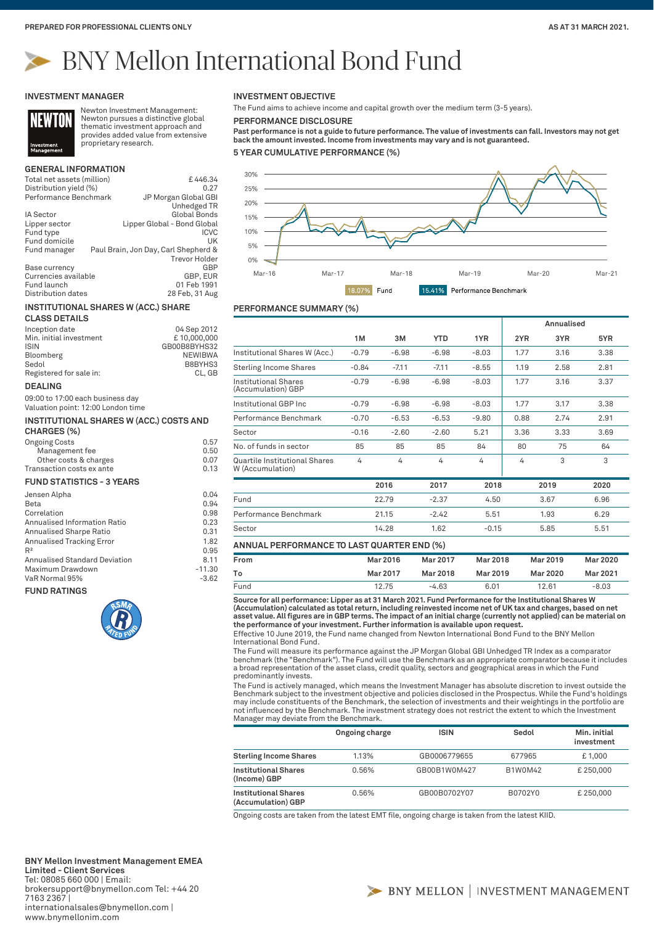**Annualised**

# BNY Mellon International Bond Fund

#### **INVESTMENT MANAGER**



Newton Investment Management: Newton pursues a distinctive global thematic investment approach and provides added value from extensive proprietary research.

# **GENERAL INFORMATION**

| Total net assets (million)                                    | £446.34                                                      |
|---------------------------------------------------------------|--------------------------------------------------------------|
| Distribution yield (%)                                        | 0.27                                                         |
| Performance Benchmark                                         | JP Morgan Global GBI                                         |
|                                                               | Unhedged TR                                                  |
| IA Sector                                                     | <b>Global Bonds</b>                                          |
| Lipper sector                                                 | Lipper Global - Bond Global                                  |
| Fund type                                                     | <b>ICVC</b>                                                  |
| Fund domicile                                                 | UK                                                           |
| Fund manager                                                  | Paul Brain, Jon Day, Carl Shepherd &<br><b>Trevor Holder</b> |
| Base currency                                                 | GBP                                                          |
| Currencies available                                          | GBP, EUR                                                     |
| Fund launch                                                   | 01 Feb 1991                                                  |
| Distribution dates                                            | 28 Feb, 31 Aug                                               |
| <b>INSTITUTIONAL SHARES W (ACC.) SHARE</b>                    |                                                              |
| <b>CLASS DETAILS</b>                                          |                                                              |
| Inception date                                                | 04 Sep 2012                                                  |
| Min. initial investment                                       | £10,000,000                                                  |
| ISIN                                                          | GB00B8BYHS32                                                 |
| Bloomberg                                                     | <b>NEWIBWA</b>                                               |
| Sedol                                                         | B8BYHS3                                                      |
| Registered for sale in:                                       | CL, GB                                                       |
|                                                               |                                                              |
| <b>DEALING</b>                                                |                                                              |
| 09:00 to 17:00 each business day                              |                                                              |
| Valuation point: 12:00 London time                            |                                                              |
|                                                               |                                                              |
| <b>INSTITUTIONAL SHARES W (ACC.) COSTS AND</b>                |                                                              |
| CHARGES (%)                                                   |                                                              |
| <b>Ongoing Costs</b>                                          | 0.57                                                         |
| Management fee                                                | 0.50                                                         |
| Other costs & charges                                         | 0.07                                                         |
| Transaction costs ex ante<br><b>FUND STATISTICS - 3 YEARS</b> | 0.13                                                         |
|                                                               |                                                              |
| Jensen Alpha                                                  | 0.04                                                         |
| Beta                                                          | 0.94                                                         |
| Correlation                                                   | 0.98                                                         |
| Annualised Information Ratio                                  | 0.23                                                         |
| <b>Annualised Sharpe Ratio</b>                                | 0.31                                                         |
| <b>Annualised Tracking Error</b>                              | 1.82                                                         |
| $R^2$                                                         | 0.95                                                         |
| <b>Annualised Standard Deviation</b>                          | 8.11                                                         |
| Maximum Drawdown<br>VaR Normal 95%                            | $-11.30$<br>$-3.62$                                          |

**FUND RATINGS**



#### **INVESTMENT OBJECTIVE**

The Fund aims to achieve income and capital growth over the medium term (3-5 years).

**PERFORMANCE DISCLOSURE**

**Past performance is not a guide to future performance. The value of investments can fall. Investors may not get back the amount invested. Income from investments may vary and is not guaranteed.**

**5 YEAR CUMULATIVE PERFORMANCE (%)**



## **PERFORMANCE SUMMARY (%)**

|                                                   |         |         |            |         |      | Alliuauseu |      |
|---------------------------------------------------|---------|---------|------------|---------|------|------------|------|
|                                                   | 1M      | 3M      | <b>YTD</b> | 1YR     | 2YR  | 3YR        | 5YR  |
| Institutional Shares W (Acc.)                     | $-0.79$ | $-6.98$ | $-6.98$    | $-8.03$ | 1.77 | 3.16       | 3.38 |
| <b>Sterling Income Shares</b>                     | $-0.84$ | $-7.11$ | $-7.11$    | $-8.55$ | 1.19 | 2.58       | 2.81 |
| Institutional Shares<br>(Accumulation) GBP        | $-0.79$ | $-6.98$ | $-6.98$    | $-8.03$ | 1.77 | 3.16       | 3.37 |
| Institutional GBP Inc                             | $-0.79$ | $-6.98$ | $-6.98$    | $-8.03$ | 1.77 | 3.17       | 3.38 |
| Performance Benchmark                             | $-0.70$ | $-6.53$ | $-6.53$    | $-9.80$ | 0.88 | 2.74       | 2.91 |
| Sector                                            | $-0.16$ | $-2.60$ | $-2.60$    | 5.21    | 3.36 | 3.33       | 3.69 |
| No. of funds in sector                            | 85      | 85      | 85         | 84      | 80   | 75         | 64   |
| Quartile Institutional Shares<br>W (Accumulation) | 4       | 4       | 4          | 4       | 4    | 3          | 3    |
|                                                   |         | 2016    | 2017       | 2018    |      | 2019       | 2020 |
| Fund                                              |         | 22.79   | $-2.37$    | 4.50    |      | 3.67       | 6.96 |
| Performance Benchmark                             |         | 21.15   | $-2.42$    | 5.51    |      | 1.93       | 6.29 |
| Sector                                            |         | 14.28   | 1.62       | $-0.15$ |      | 5.85       | 5.51 |

#### **ANNUAL PERFORMANCE TO LAST QUARTER END (%)**

| From | Mar 2016 | Mar 2017 | Mar 2018 | Mar 2019 | Mar 2020 |
|------|----------|----------|----------|----------|----------|
| Т٥   | Mar 2017 | Mar 2018 | Mar 2019 | Mar 2020 | Mar 2021 |
| Fund | 12.75    | $-4.63$  | 6.01     | 12.61    | $-8.03$  |

**Source for all performance: Lipper as at 31 March 2021. Fund Performance for the Institutional Shares W**  (Accumulation) calculated as total return, including reinvested income net of UK tax and charges, based on net<br>asset value. All figures are in GBP terms. The impact of an initial charge (currently not applied) can be mater **the performance of your investment. Further information is available upon request.**

Effective 10 June 2019, the Fund name changed from Newton International Bond Fund to the BNY Mellon International Bond Fund.

The Fund will measure its performance against the JP Morgan Global GBI Unhedged TR Index as a comparator benchmark (the "Benchmark"). The Fund will use the Benchmark as an appropriate comparator because it includes a broad representation of the asset class, credit quality, sectors and geographical areas in which the Fund predominantly invests.

The Fund is actively managed, which means the Investment Manager has absolute discretion to invest outside the<br>Benchmark subject to the investment objective and policies disclosed in the Prospectus. While the Fund's holdin may include constituents of the Benchmark, the selection of investments and their weightings in the portfolio are not influenced by the Benchmark. The investment strategy does not restrict the extent to which the Investment Manager may deviate from the Benchmark.

|                                                   | Ongoing charge | <b>ISIN</b>  | Sedol   | Min. initial<br>investment |
|---------------------------------------------------|----------------|--------------|---------|----------------------------|
| <b>Sterling Income Shares</b>                     | 1.13%          | GB0006779655 | 677965  | £1,000                     |
| <b>Institutional Shares</b><br>(Income) GBP       | 0.56%          | GB00B1W0M427 | B1W0M42 | £250,000                   |
| <b>Institutional Shares</b><br>(Accumulation) GBP | 0.56%          | GB00B0702Y07 | B0702Y0 | £250,000                   |

Ongoing costs are taken from the latest EMT file, ongoing charge is taken from the latest KIID.